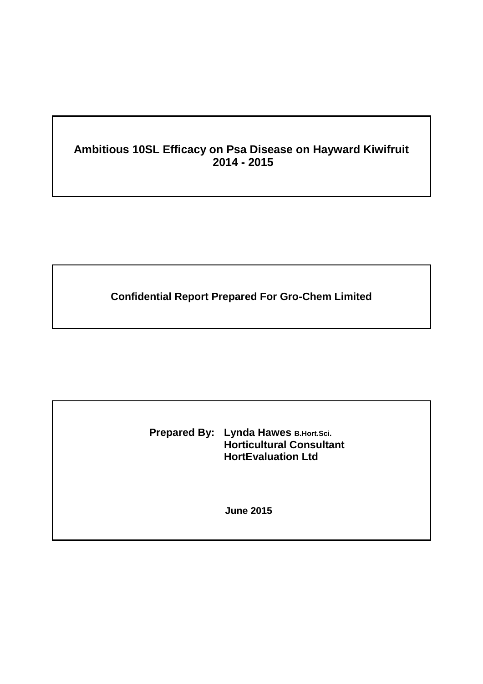# **Ambitious 10SL Efficacy on Psa Disease on Hayward Kiwifruit 2014 - 2015**

**Confidential Report Prepared For Gro-Chem Limited**

**Prepared By: Lynda Hawes B.Hort.Sci. Horticultural Consultant HortEvaluation Ltd**

**June 2015**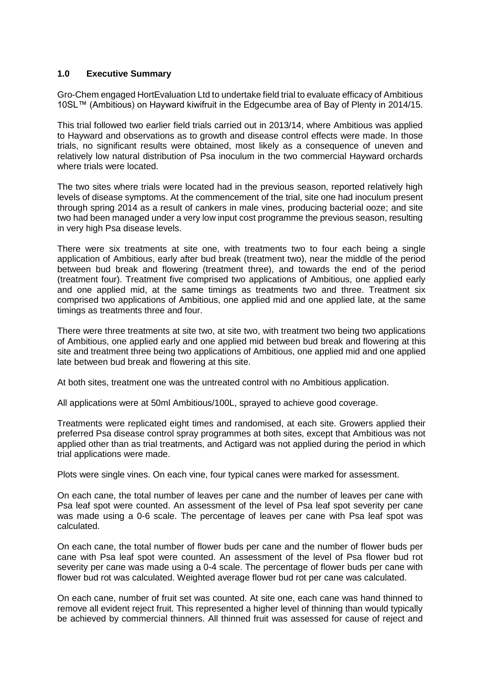### **1.0 Executive Summary**

Gro-Chem engaged HortEvaluation Ltd to undertake field trial to evaluate efficacy of Ambitious 10SL™ (Ambitious) on Hayward kiwifruit in the Edgecumbe area of Bay of Plenty in 2014/15.

This trial followed two earlier field trials carried out in 2013/14, where Ambitious was applied to Hayward and observations as to growth and disease control effects were made. In those trials, no significant results were obtained, most likely as a consequence of uneven and relatively low natural distribution of Psa inoculum in the two commercial Hayward orchards where trials were located.

The two sites where trials were located had in the previous season, reported relatively high levels of disease symptoms. At the commencement of the trial, site one had inoculum present through spring 2014 as a result of cankers in male vines, producing bacterial ooze; and site two had been managed under a very low input cost programme the previous season, resulting in very high Psa disease levels.

There were six treatments at site one, with treatments two to four each being a single application of Ambitious, early after bud break (treatment two), near the middle of the period between bud break and flowering (treatment three), and towards the end of the period (treatment four). Treatment five comprised two applications of Ambitious, one applied early and one applied mid, at the same timings as treatments two and three. Treatment six comprised two applications of Ambitious, one applied mid and one applied late, at the same timings as treatments three and four.

There were three treatments at site two, at site two, with treatment two being two applications of Ambitious, one applied early and one applied mid between bud break and flowering at this site and treatment three being two applications of Ambitious, one applied mid and one applied late between bud break and flowering at this site.

At both sites, treatment one was the untreated control with no Ambitious application.

All applications were at 50ml Ambitious/100L, sprayed to achieve good coverage.

Treatments were replicated eight times and randomised, at each site. Growers applied their preferred Psa disease control spray programmes at both sites, except that Ambitious was not applied other than as trial treatments, and Actigard was not applied during the period in which trial applications were made.

Plots were single vines. On each vine, four typical canes were marked for assessment.

On each cane, the total number of leaves per cane and the number of leaves per cane with Psa leaf spot were counted. An assessment of the level of Psa leaf spot severity per cane was made using a 0-6 scale. The percentage of leaves per cane with Psa leaf spot was calculated.

On each cane, the total number of flower buds per cane and the number of flower buds per cane with Psa leaf spot were counted. An assessment of the level of Psa flower bud rot severity per cane was made using a 0-4 scale. The percentage of flower buds per cane with flower bud rot was calculated. Weighted average flower bud rot per cane was calculated.

On each cane, number of fruit set was counted. At site one, each cane was hand thinned to remove all evident reject fruit. This represented a higher level of thinning than would typically be achieved by commercial thinners. All thinned fruit was assessed for cause of reject and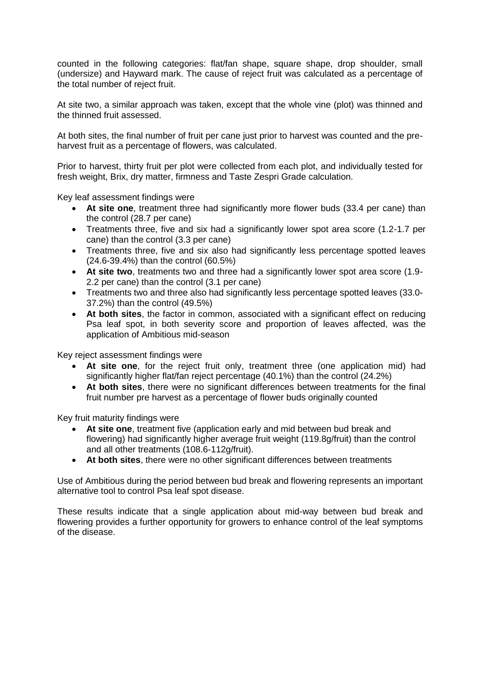counted in the following categories: flat/fan shape, square shape, drop shoulder, small (undersize) and Hayward mark. The cause of reject fruit was calculated as a percentage of the total number of reject fruit.

At site two, a similar approach was taken, except that the whole vine (plot) was thinned and the thinned fruit assessed.

At both sites, the final number of fruit per cane just prior to harvest was counted and the preharvest fruit as a percentage of flowers, was calculated.

Prior to harvest, thirty fruit per plot were collected from each plot, and individually tested for fresh weight, Brix, dry matter, firmness and Taste Zespri Grade calculation.

Key leaf assessment findings were

- **At site one**, treatment three had significantly more flower buds (33.4 per cane) than the control (28.7 per cane)
- Treatments three, five and six had a significantly lower spot area score (1.2-1.7 per cane) than the control (3.3 per cane)
- Treatments three, five and six also had significantly less percentage spotted leaves (24.6-39.4%) than the control (60.5%)
- **At site two**, treatments two and three had a significantly lower spot area score (1.9- 2.2 per cane) than the control (3.1 per cane)
- Treatments two and three also had significantly less percentage spotted leaves (33.0- 37.2%) than the control (49.5%)
- **At both sites**, the factor in common, associated with a significant effect on reducing Psa leaf spot, in both severity score and proportion of leaves affected, was the application of Ambitious mid-season

Key reject assessment findings were

- **At site one**, for the reject fruit only, treatment three (one application mid) had significantly higher flat/fan reject percentage (40.1%) than the control (24.2%)
- **At both sites**, there were no significant differences between treatments for the final fruit number pre harvest as a percentage of flower buds originally counted

Key fruit maturity findings were

- **At site one**, treatment five (application early and mid between bud break and flowering) had significantly higher average fruit weight (119.8g/fruit) than the control and all other treatments (108.6-112g/fruit).
- **At both sites**, there were no other significant differences between treatments

Use of Ambitious during the period between bud break and flowering represents an important alternative tool to control Psa leaf spot disease.

These results indicate that a single application about mid-way between bud break and flowering provides a further opportunity for growers to enhance control of the leaf symptoms of the disease.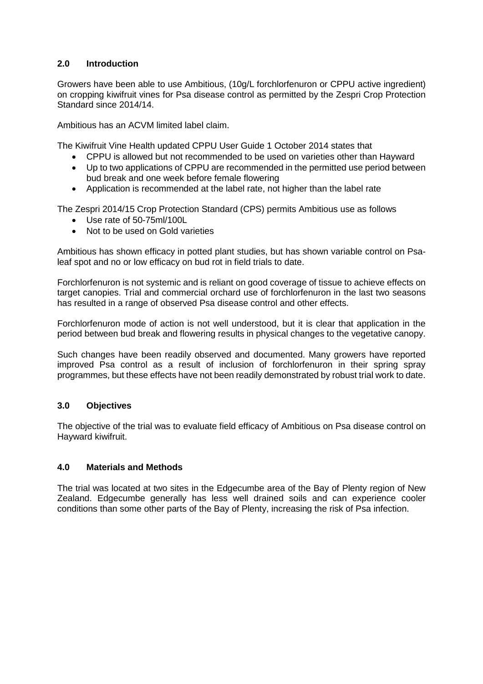## **2.0 Introduction**

Growers have been able to use Ambitious, (10g/L forchlorfenuron or CPPU active ingredient) on cropping kiwifruit vines for Psa disease control as permitted by the Zespri Crop Protection Standard since 2014/14.

Ambitious has an ACVM limited label claim.

The Kiwifruit Vine Health updated CPPU User Guide 1 October 2014 states that

- CPPU is allowed but not recommended to be used on varieties other than Hayward
- Up to two applications of CPPU are recommended in the permitted use period between bud break and one week before female flowering
- Application is recommended at the label rate, not higher than the label rate

The Zespri 2014/15 Crop Protection Standard (CPS) permits Ambitious use as follows

- Use rate of 50-75ml/100L
- Not to be used on Gold varieties

Ambitious has shown efficacy in potted plant studies, but has shown variable control on Psaleaf spot and no or low efficacy on bud rot in field trials to date.

Forchlorfenuron is not systemic and is reliant on good coverage of tissue to achieve effects on target canopies. Trial and commercial orchard use of forchlorfenuron in the last two seasons has resulted in a range of observed Psa disease control and other effects.

Forchlorfenuron mode of action is not well understood, but it is clear that application in the period between bud break and flowering results in physical changes to the vegetative canopy.

Such changes have been readily observed and documented. Many growers have reported improved Psa control as a result of inclusion of forchlorfenuron in their spring spray programmes, but these effects have not been readily demonstrated by robust trial work to date.

### **3.0 Objectives**

The objective of the trial was to evaluate field efficacy of Ambitious on Psa disease control on Hayward kiwifruit.

### **4.0 Materials and Methods**

The trial was located at two sites in the Edgecumbe area of the Bay of Plenty region of New Zealand. Edgecumbe generally has less well drained soils and can experience cooler conditions than some other parts of the Bay of Plenty, increasing the risk of Psa infection.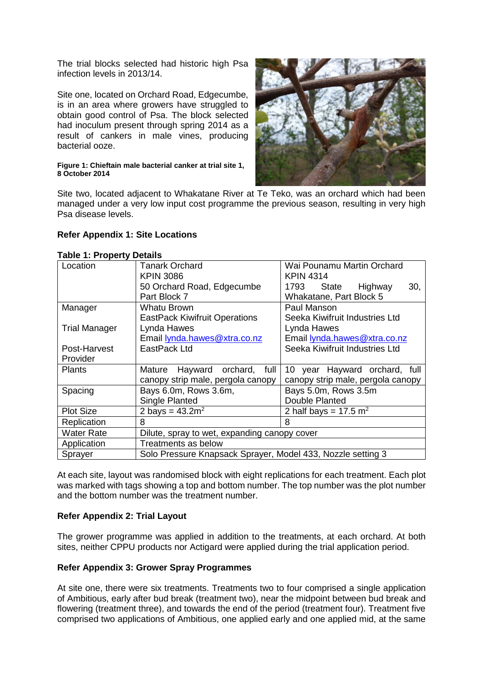The trial blocks selected had historic high Psa infection levels in 2013/14.

Site one, located on Orchard Road, Edgecumbe, is in an area where growers have struggled to obtain good control of Psa. The block selected had inoculum present through spring 2014 as a result of cankers in male vines, producing bacterial ooze.

#### **Figure 1: Chieftain male bacterial canker at trial site 1, 8 October 2014**



Site two, located adjacent to Whakatane River at Te Teko, was an orchard which had been managed under a very low input cost programme the previous season, resulting in very high Psa disease levels.

### **Refer Appendix 1: Site Locations**

| $200 - 111 - 1200 - 17$<br>Location | <b>Tanark Orchard</b>                                        | Wai Pounamu Martin Orchard          |  |  |  |  |  |  |
|-------------------------------------|--------------------------------------------------------------|-------------------------------------|--|--|--|--|--|--|
|                                     | <b>KPIN 3086</b>                                             | <b>KPIN 4314</b>                    |  |  |  |  |  |  |
|                                     | 50 Orchard Road, Edgecumbe                                   | 30,<br>1793 State<br>Highway        |  |  |  |  |  |  |
|                                     | Part Block 7                                                 | Whakatane, Part Block 5             |  |  |  |  |  |  |
| Manager                             | Whatu Brown                                                  | Paul Manson                         |  |  |  |  |  |  |
|                                     | <b>EastPack Kiwifruit Operations</b>                         | Seeka Kiwifruit Industries Ltd      |  |  |  |  |  |  |
| <b>Trial Manager</b>                | Lynda Hawes                                                  | Lynda Hawes                         |  |  |  |  |  |  |
|                                     |                                                              |                                     |  |  |  |  |  |  |
|                                     | Email lynda.hawes@xtra.co.nz<br>Email lynda.hawes@xtra.co.nz |                                     |  |  |  |  |  |  |
| Post-Harvest                        | EastPack Ltd                                                 | Seeka Kiwifruit Industries Ltd      |  |  |  |  |  |  |
| Provider                            |                                                              |                                     |  |  |  |  |  |  |
| <b>Plants</b>                       | Hayward orchard, full<br>Mature                              | 10 year Hayward orchard, full       |  |  |  |  |  |  |
|                                     | canopy strip male, pergola canopy                            | canopy strip male, pergola canopy   |  |  |  |  |  |  |
| Spacing                             | Bays 6.0m, Rows 3.6m,                                        | Bays 5.0m, Rows 3.5m                |  |  |  |  |  |  |
|                                     | Single Planted                                               | Double Planted                      |  |  |  |  |  |  |
| <b>Plot Size</b>                    | 2 bays = $43.2m^2$                                           | 2 half bays = $17.5$ m <sup>2</sup> |  |  |  |  |  |  |
| Replication                         | 8                                                            | 8                                   |  |  |  |  |  |  |
| <b>Water Rate</b>                   | Dilute, spray to wet, expanding canopy cover                 |                                     |  |  |  |  |  |  |
| Application                         | Treatments as below                                          |                                     |  |  |  |  |  |  |
| Sprayer                             | Solo Pressure Knapsack Sprayer, Model 433, Nozzle setting 3  |                                     |  |  |  |  |  |  |

#### **Table 1: Property Details**

At each site, layout was randomised block with eight replications for each treatment. Each plot was marked with tags showing a top and bottom number. The top number was the plot number and the bottom number was the treatment number.

### **Refer Appendix 2: Trial Layout**

The grower programme was applied in addition to the treatments, at each orchard. At both sites, neither CPPU products nor Actigard were applied during the trial application period.

#### **Refer Appendix 3: Grower Spray Programmes**

At site one, there were six treatments. Treatments two to four comprised a single application of Ambitious, early after bud break (treatment two), near the midpoint between bud break and flowering (treatment three), and towards the end of the period (treatment four). Treatment five comprised two applications of Ambitious, one applied early and one applied mid, at the same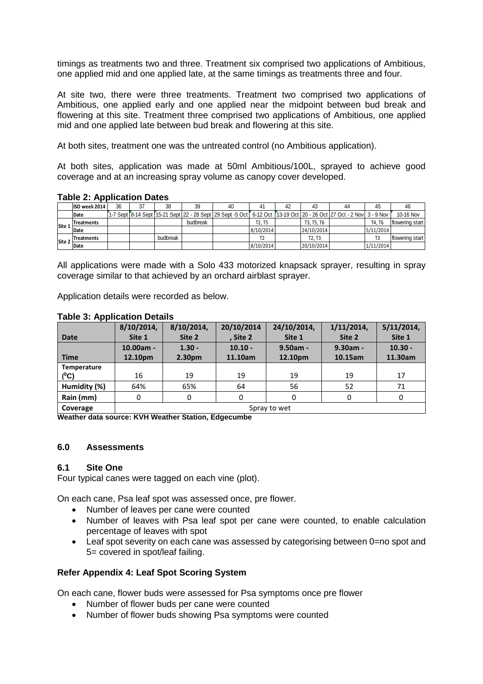timings as treatments two and three. Treatment six comprised two applications of Ambitious, one applied mid and one applied late, at the same timings as treatments three and four.

At site two, there were three treatments. Treatment two comprised two applications of Ambitious, one applied early and one applied near the midpoint between bud break and flowering at this site. Treatment three comprised two applications of Ambitious, one applied mid and one applied late between bud break and flowering at this site.

At both sites, treatment one was the untreated control (no Ambitious application).

At both sites, application was made at 50ml Ambitious/100L, sprayed to achieve good coverage and at an increasing spray volume as canopy cover developed.

#### **Table 2: Application Dates**

|        | ISO week 2014     | 36 | 27 | 38       | 39       | 40                                                                                                                                 | 41                              | 43                              | 44 | 45        |                 |
|--------|-------------------|----|----|----------|----------|------------------------------------------------------------------------------------------------------------------------------------|---------------------------------|---------------------------------|----|-----------|-----------------|
|        | Date              |    |    |          |          | [1-7 Sept [8-14 Sept [15-21 Sept   22 - 28 Sept   29 Sept -5 Oct [ 6-12 Oct   13-19 Oct   20 - 26 Oct   27 Oct - 2 Nov   3 - 9 Nov |                                 |                                 |    |           | 10-16 Nov       |
| Site 1 | <b>Treatments</b> |    |    |          | budbreak |                                                                                                                                    | T <sub>2</sub> . T <sub>5</sub> | T3, T5, T6                      |    | T4. T6    | flowering start |
|        | Date              |    |    |          |          |                                                                                                                                    | 8/10/2014                       | 24/10/2014                      |    | 5/11/2014 |                 |
| Site 2 | <b>Treatments</b> |    |    | budbreak |          |                                                                                                                                    |                                 | T <sub>2</sub> . T <sub>3</sub> |    |           | flowering start |
|        | Date              |    |    |          |          |                                                                                                                                    | 8/10/2014                       | 20/10/2014                      |    | 1/11/2014 |                 |

All applications were made with a Solo 433 motorized knapsack sprayer, resulting in spray coverage similar to that achieved by an orchard airblast sprayer.

Application details were recorded as below.

#### **Table 3: Application Details**

| . .          | 8/10/2014,   | 8/10/2014,         | 20/10/2014 | 24/10/2014, | $1/11/2014$ , | $5/11/2014$ , |  |
|--------------|--------------|--------------------|------------|-------------|---------------|---------------|--|
| <b>Date</b>  | Site 1       | Site 2             | , Site 2   | Site 1      | Site 2        | Site 1        |  |
|              | 10.00am -    | $1.30 -$           | $10.10 -$  | $9.50am -$  | $9.30am -$    | $10.30 -$     |  |
| <b>Time</b>  | 12.10pm      | 2.30 <sub>pm</sub> | 11.10am    | 12.10pm     | 10.15am       | 11.30am       |  |
| Temperature  |              |                    |            |             |               |               |  |
| $(^0C)$      | 16           | 19                 | 19         | 19          | 19            | 17            |  |
| Humidity (%) | 64%          | 65%                | 64         | 56          | 52            | 71            |  |
| Rain (mm)    | 0            | 0                  |            | 0           |               | 0             |  |
| Coverage     | Spray to wet |                    |            |             |               |               |  |

**Weather data source: KVH Weather Station, Edgecumbe**

#### **6.0 Assessments**

#### **6.1 Site One**

Four typical canes were tagged on each vine (plot).

On each cane, Psa leaf spot was assessed once, pre flower.

- Number of leaves per cane were counted
- Number of leaves with Psa leaf spot per cane were counted, to enable calculation percentage of leaves with spot
- Leaf spot severity on each cane was assessed by categorising between 0=no spot and 5= covered in spot/leaf failing.

### **Refer Appendix 4: Leaf Spot Scoring System**

On each cane, flower buds were assessed for Psa symptoms once pre flower

- Number of flower buds per cane were counted
- Number of flower buds showing Psa symptoms were counted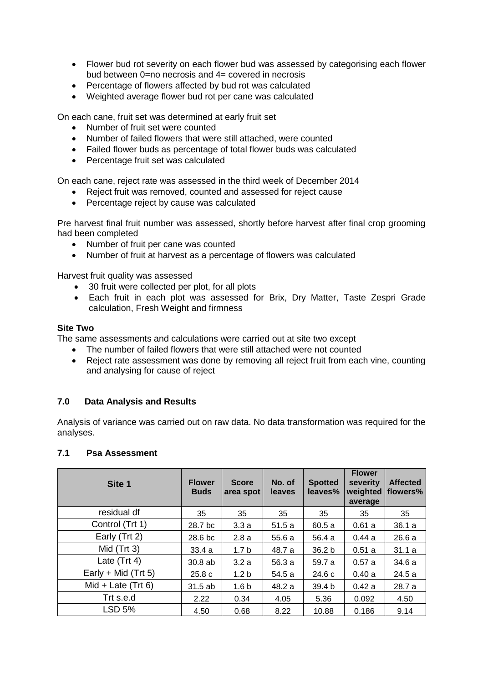- Flower bud rot severity on each flower bud was assessed by categorising each flower bud between 0=no necrosis and 4= covered in necrosis
- Percentage of flowers affected by bud rot was calculated
- Weighted average flower bud rot per cane was calculated

On each cane, fruit set was determined at early fruit set

- Number of fruit set were counted
- Number of failed flowers that were still attached, were counted
- Failed flower buds as percentage of total flower buds was calculated
- Percentage fruit set was calculated

On each cane, reject rate was assessed in the third week of December 2014

- Reject fruit was removed, counted and assessed for reject cause
- Percentage reject by cause was calculated

Pre harvest final fruit number was assessed, shortly before harvest after final crop grooming had been completed

- Number of fruit per cane was counted
- Number of fruit at harvest as a percentage of flowers was calculated

Harvest fruit quality was assessed

- 30 fruit were collected per plot, for all plots
- Each fruit in each plot was assessed for Brix, Dry Matter, Taste Zespri Grade calculation, Fresh Weight and firmness

#### **Site Two**

The same assessments and calculations were carried out at site two except

- The number of failed flowers that were still attached were not counted
- Reject rate assessment was done by removing all reject fruit from each vine, counting and analysing for cause of reject

### **7.0 Data Analysis and Results**

Analysis of variance was carried out on raw data. No data transformation was required for the analyses.

### **7.1 Psa Assessment**

| Site 1                | <b>Flower</b><br><b>Buds</b> | <b>Score</b><br>area spot | No. of<br><b>leaves</b> | <b>Spotted</b><br>leaves% | <b>Flower</b><br>severity<br>weighted<br>average | <b>Affected</b><br>flowers% |
|-----------------------|------------------------------|---------------------------|-------------------------|---------------------------|--------------------------------------------------|-----------------------------|
| residual df           | 35                           | 35                        | 35                      | 35                        | 35                                               | 35                          |
| Control (Trt 1)       | 28.7 bc                      | 3.3a                      | 51.5a                   | 60.5a                     | 0.61a                                            | 36.1a                       |
| Early (Trt 2)         | 28.6 <sub>bc</sub>           | 2.8a                      | 55.6a                   | 56.4 a                    | 0.44a                                            | 26.6a                       |
| Mid $(Trt 3)$         | 33.4a                        | 1.7 <sub>b</sub>          | 48.7 a                  | 36.2 <sub>b</sub>         | 0.51a                                            | 31.1a                       |
| Late $(Trt 4)$        | 30.8ab                       | 3.2a                      | 56.3 a                  | 59.7 a                    | 0.57a                                            | 34.6 a                      |
| Early + Mid $(Trt 5)$ | 25.8c                        | 1.2 <sub>b</sub>          | 54.5 a                  | 24.6c                     | 0.40a                                            | 24.5a                       |
| Mid + Late $(Trt 6)$  | 31.5 ab                      | 1.6 <sub>b</sub>          | 48.2 a                  | 39.4 b                    | 0.42a                                            | 28.7 a                      |
| Trt s.e.d             | 2.22                         | 0.34                      | 4.05                    | 5.36                      | 0.092                                            | 4.50                        |
| <b>LSD 5%</b>         | 4.50                         | 0.68                      | 8.22                    | 10.88                     | 0.186                                            | 9.14                        |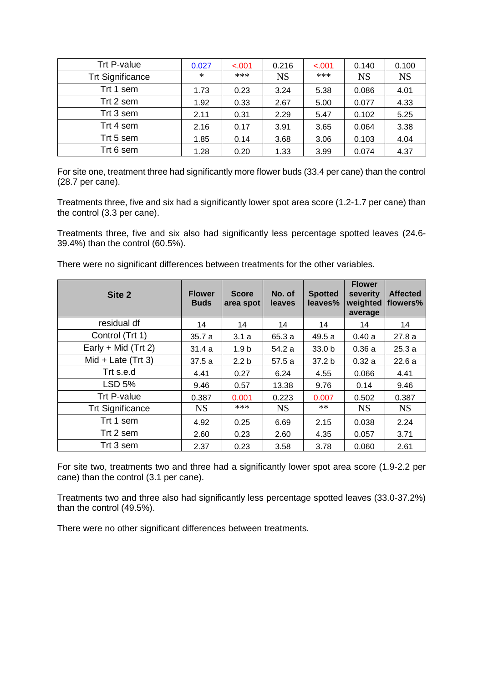| Trt P-value             | 0.027 | $-.001$ | 0.216     | $-.001$ | 0.140     | 0.100     |
|-------------------------|-------|---------|-----------|---------|-----------|-----------|
| <b>Trt Significance</b> | ∗     | ***     | <b>NS</b> | ***     | <b>NS</b> | <b>NS</b> |
| Trt 1 sem               | 1.73  | 0.23    | 3.24      | 5.38    | 0.086     | 4.01      |
| Trt 2 sem               | 1.92  | 0.33    | 2.67      | 5.00    | 0.077     | 4.33      |
| Trt 3 sem               | 2.11  | 0.31    | 2.29      | 5.47    | 0.102     | 5.25      |
| Trt 4 sem               | 2.16  | 0.17    | 3.91      | 3.65    | 0.064     | 3.38      |
| Trt 5 sem               | 1.85  | 0.14    | 3.68      | 3.06    | 0.103     | 4.04      |
| Trt 6 sem               | 1.28  | 0.20    | 1.33      | 3.99    | 0.074     | 4.37      |

For site one, treatment three had significantly more flower buds (33.4 per cane) than the control (28.7 per cane).

Treatments three, five and six had a significantly lower spot area score (1.2-1.7 per cane) than the control (3.3 per cane).

Treatments three, five and six also had significantly less percentage spotted leaves (24.6- 39.4%) than the control (60.5%).

There were no significant differences between treatments for the other variables.

| Site 2                  | <b>Flower</b><br><b>Buds</b> | <b>Score</b><br>area spot | No. of<br>leaves | <b>Spotted</b><br>leaves% | <b>Flower</b><br>severity<br>weighted<br>average | <b>Affected</b><br>flowers% |
|-------------------------|------------------------------|---------------------------|------------------|---------------------------|--------------------------------------------------|-----------------------------|
| residual df             | 14                           | 14                        | 14               | 14                        | 14                                               | 14                          |
| Control (Trt 1)         | 35.7a                        | 3.1a                      | 65.3 a           | 49.5 a                    | 0.40a                                            | 27.8a                       |
| Early + Mid $(Trt 2)$   | 31.4a                        | 1.9 <sub>b</sub>          | 54.2 a           | 33.0 <sub>b</sub>         | 0.36a                                            | 25.3a                       |
| $Mid + Late$ (Trt 3)    | 37.5a                        | 2.2 <sub>b</sub>          | 57.5 a           | 37.2 <sub>b</sub>         | 0.32a                                            | 22.6a                       |
| Trt s.e.d               | 4.41                         | 0.27                      | 6.24             | 4.55                      | 0.066                                            | 4.41                        |
| <b>LSD 5%</b>           | 9.46                         | 0.57                      | 13.38            | 9.76                      | 0.14                                             | 9.46                        |
| Trt P-value             | 0.387                        | 0.001                     | 0.223            | 0.007                     | 0.502                                            | 0.387                       |
| <b>Trt Significance</b> | <b>NS</b>                    | ***                       | <b>NS</b>        | $**$                      | <b>NS</b>                                        | <b>NS</b>                   |
| Trt 1 sem               | 4.92                         | 0.25                      | 6.69             | 2.15                      | 0.038                                            | 2.24                        |
| Trt 2 sem               | 2.60                         | 0.23                      | 2.60             | 4.35                      | 0.057                                            | 3.71                        |
| Trt 3 sem               | 2.37                         | 0.23                      | 3.58             | 3.78                      | 0.060                                            | 2.61                        |

For site two, treatments two and three had a significantly lower spot area score (1.9-2.2 per cane) than the control (3.1 per cane).

Treatments two and three also had significantly less percentage spotted leaves (33.0-37.2%) than the control (49.5%).

There were no other significant differences between treatments.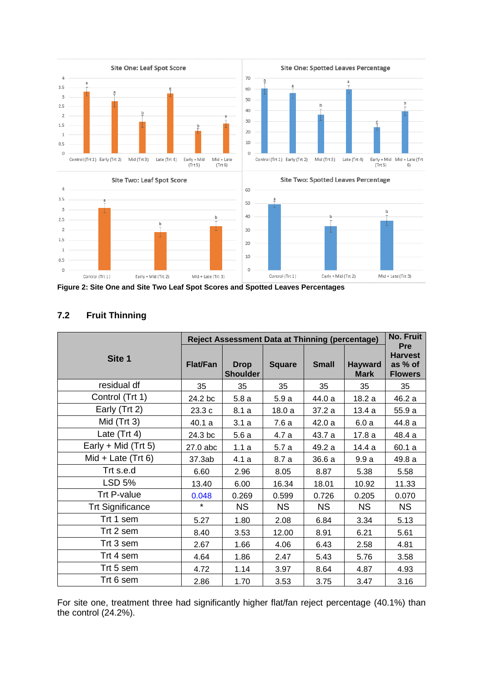

Early + Mid (Trt 2)

Mid + Late (Trt 3)

Control (Trt 1)

**Figure 2: Site One and Site Two Leaf Spot Scores and Spotted Leaves Percentages**

Mid + Late (Trt 3)

Early + Mid (Trt 2)

# **7.2 Fruit Thinning**

Control (Trt 1)

|                         |                 | <b>Reject Assessment Data at Thinning (percentage)</b> |               |              |                               | <b>No. Fruit</b>                                          |
|-------------------------|-----------------|--------------------------------------------------------|---------------|--------------|-------------------------------|-----------------------------------------------------------|
| Site 1                  | <b>Flat/Fan</b> | <b>Drop</b><br><b>Shoulder</b>                         | <b>Square</b> | <b>Small</b> | <b>Hayward</b><br><b>Mark</b> | <b>Pre</b><br><b>Harvest</b><br>as % of<br><b>Flowers</b> |
| residual df             | 35              | 35                                                     | 35            | 35           | 35                            | 35                                                        |
| Control (Trt 1)         | 24.2 bc         | 5.8a                                                   | 5.9a          | 44.0 a       | 18.2 a                        | 46.2 a                                                    |
| Early (Trt 2)           | 23.3 c          | 8.1a                                                   | 18.0a         | 37.2 a       | 13.4a                         | 55.9 a                                                    |
| Mid (Trt 3)             | 40.1 a          | 3.1a                                                   | 7.6 a         | 42.0 a       | 6.0a                          | 44.8 a                                                    |
| Late (Trt 4)            | 24.3 bc         | 5.6a                                                   | 4.7 a         | 43.7 a       | 17.8a                         | 48.4 a                                                    |
| Early + Mid $(Trt 5)$   | 27.0 abc        | 1.1a                                                   | 5.7a          | 49.2 a       | 14.4 a                        | 60.1 a                                                    |
| Mid + Late $(Trt 6)$    | 37.3ab          | 4.1a                                                   | 8.7 a         | 36.6 a       | 9.9a                          | 49.8 a                                                    |
| Trt s.e.d               | 6.60            | 2.96                                                   | 8.05          | 8.87         | 5.38                          | 5.58                                                      |
| <b>LSD 5%</b>           | 13.40           | 6.00                                                   | 16.34         | 18.01        | 10.92                         | 11.33                                                     |
| <b>Trt P-value</b>      | 0.048           | 0.269                                                  | 0.599         | 0.726        | 0.205                         | 0.070                                                     |
| <b>Trt Significance</b> | $\star$         | <b>NS</b>                                              | <b>NS</b>     | <b>NS</b>    | <b>NS</b>                     | <b>NS</b>                                                 |
| Trt 1 sem               | 5.27            | 1.80                                                   | 2.08          | 6.84         | 3.34                          | 5.13                                                      |
| Trt 2 sem               | 8.40            | 3.53                                                   | 12.00         | 8.91         | 6.21                          | 5.61                                                      |
| Trt 3 sem               | 2.67            | 1.66                                                   | 4.06          | 6.43         | 2.58                          | 4.81                                                      |
| Trt 4 sem               | 4.64            | 1.86                                                   | 2.47          | 5.43         | 5.76                          | 3.58                                                      |
| Trt 5 sem               | 4.72            | 1.14                                                   | 3.97          | 8.64         | 4.87                          | 4.93                                                      |
| Trt 6 sem               | 2.86            | 1.70                                                   | 3.53          | 3.75         | 3.47                          | 3.16                                                      |

For site one, treatment three had significantly higher flat/fan reject percentage (40.1%) than the control (24.2%).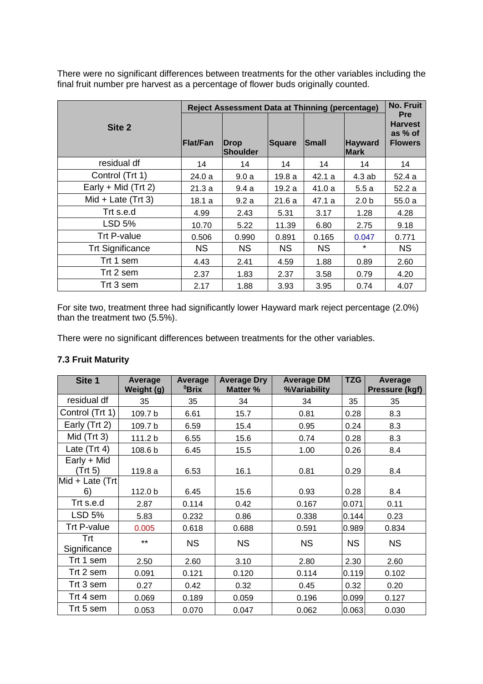There were no significant differences between treatments for the other variables including the final fruit number pre harvest as a percentage of flower buds originally counted.

|                         |           | <b>Reject Assessment Data at Thinning (percentage)</b> |           |           |                               | <b>No. Fruit</b>                                          |
|-------------------------|-----------|--------------------------------------------------------|-----------|-----------|-------------------------------|-----------------------------------------------------------|
| Site <sub>2</sub>       | Flat/Fan  | <b>Drop</b><br><b>Shoulder</b>                         | Square    | Small     | <b>Hayward</b><br><b>Mark</b> | <b>Pre</b><br><b>Harvest</b><br>as % of<br><b>Flowers</b> |
| residual df             | 14        | 14                                                     | 14        | 14        | 14                            | 14                                                        |
| Control (Trt 1)         | 24.0 a    | 9.0a                                                   | 19.8a     | 42.1 a    | 4.3ab                         | 52.4 a                                                    |
| Early + Mid $(Trt 2)$   | 21.3 a    | 9.4a                                                   | 19.2 a    | 41.0 a    | 5.5a                          | 52.2a                                                     |
| Mid + Late $(Trt 3)$    | 18.1 a    | 9.2a                                                   | 21.6a     | 47.1 a    | 2.0 <sub>b</sub>              | 55.0a                                                     |
| Trt s.e.d               | 4.99      | 2.43                                                   | 5.31      | 3.17      | 1.28                          | 4.28                                                      |
| <b>LSD 5%</b>           | 10.70     | 5.22                                                   | 11.39     | 6.80      | 2.75                          | 9.18                                                      |
| Trt P-value             | 0.506     | 0.990                                                  | 0.891     | 0.165     | 0.047                         | 0.771                                                     |
| <b>Trt Significance</b> | <b>NS</b> | <b>NS</b>                                              | <b>NS</b> | <b>NS</b> | $\star$                       | <b>NS</b>                                                 |
| Trt 1 sem               | 4.43      | 2.41                                                   | 4.59      | 1.88      | 0.89                          | 2.60                                                      |
| Trt 2 sem               | 2.37      | 1.83                                                   | 2.37      | 3.58      | 0.79                          | 4.20                                                      |
| Trt 3 sem               | 2.17      | 1.88                                                   | 3.93      | 3.95      | 0.74                          | 4.07                                                      |

For site two, treatment three had significantly lower Hayward mark reject percentage (2.0%) than the treatment two (5.5%).

There were no significant differences between treatments for the other variables.

# **7.3 Fruit Maturity**

| Site 1                 | Average<br>Weight (g) | Average<br><sup>0</sup> Brix | <b>Average Dry</b><br>Matter % | <b>Average DM</b><br>%Variability | <b>TZG</b> | Average<br>Pressure (kgf) |
|------------------------|-----------------------|------------------------------|--------------------------------|-----------------------------------|------------|---------------------------|
| residual df            | 35                    | 35                           | 34                             | 34                                | 35         | 35                        |
| Control (Trt 1)        | 109.7 b               | 6.61                         | 15.7                           | 0.81                              | 0.28       | 8.3                       |
| Early (Trt 2)          | 109.7 b               | 6.59                         | 15.4                           | 0.95                              | 0.24       | 8.3                       |
| Mid $(Trt 3)$          | 111.2 b               | 6.55                         | 15.6                           | 0.74                              | 0.28       | 8.3                       |
| Late $(Trt 4)$         | 108.6 b               | 6.45                         | 15.5                           | 1.00                              | 0.26       | 8.4                       |
| Early + Mid<br>(Trt 5) | 119.8 a               | 6.53                         | 16.1                           | 0.81                              | 0.29       | 8.4                       |
| Mid + Late $(Trt)$     |                       |                              |                                |                                   |            |                           |
| 6)                     | 112.0 b               | 6.45                         | 15.6                           | 0.93                              | 0.28       | 8.4                       |
| Trt s.e.d              | 2.87                  | 0.114                        | 0.42                           | 0.167                             | 0.071      | 0.11                      |
| <b>LSD 5%</b>          | 5.83                  | 0.232                        | 0.86                           | 0.338                             | 0.144      | 0.23                      |
| Trt P-value            | 0.005                 | 0.618                        | 0.688                          | 0.591                             | 0.989      | 0.834                     |
| Trt<br>Significance    | $***$                 | <b>NS</b>                    | <b>NS</b>                      | <b>NS</b>                         | <b>NS</b>  | <b>NS</b>                 |
| Trt 1 sem              | 2.50                  | 2.60                         | 3.10                           | 2.80                              | 2.30       | 2.60                      |
| Trt 2 sem              | 0.091                 | 0.121                        | 0.120                          | 0.114                             | 0.119      | 0.102                     |
| Trt 3 sem              | 0.27                  | 0.42                         | 0.32                           | 0.45                              | 0.32       | 0.20                      |
| Trt 4 sem              | 0.069                 | 0.189                        | 0.059                          | 0.196                             | 0.099      | 0.127                     |
| Trt 5 sem              | 0.053                 | 0.070                        | 0.047                          | 0.062                             | 0.063      | 0.030                     |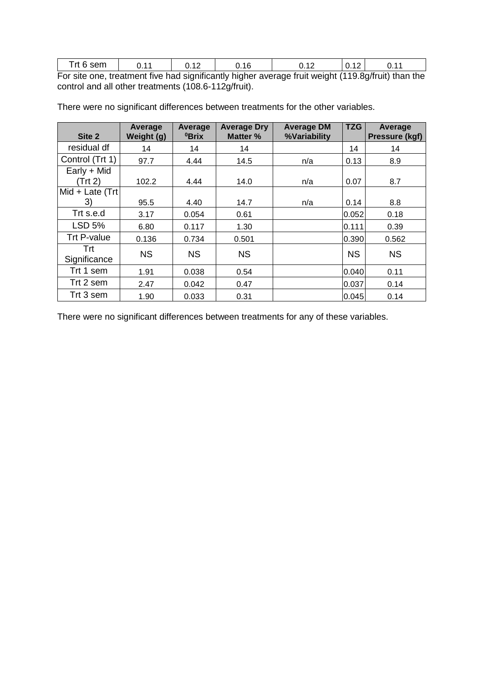| Trt 6 sem. | 0.11 | 0.12 | 0.16 | 0.12                                                                                               | $\vert 0.12 \vert$ | 0.11 |
|------------|------|------|------|----------------------------------------------------------------------------------------------------|--------------------|------|
|            |      |      |      | For site one, treatment five had significantly higher average fruit weight (119.8g/fruit) than the |                    |      |

| Site 2              | Average<br>Weight (g) | Average<br><sup>0</sup> Brix | <b>Average Dry</b><br>Matter % | <b>Average DM</b><br>%Variability | <b>TZG</b> | Average<br><b>Pressure (kgf)</b> |
|---------------------|-----------------------|------------------------------|--------------------------------|-----------------------------------|------------|----------------------------------|
| residual df         | 14                    | 14                           | 14                             |                                   | 14         | 14                               |
| Control (Trt 1)     | 97.7                  | 4.44                         | 14.5                           | n/a                               | 0.13       | 8.9                              |
| Early + Mid         |                       |                              |                                |                                   |            |                                  |
| (Trt 2)             | 102.2                 | 4.44                         | 14.0                           | n/a                               | 0.07       | 8.7                              |
| Mid + Late (Trt     |                       |                              |                                |                                   |            |                                  |
| 3)                  | 95.5                  | 4.40                         | 14.7                           | n/a                               | 0.14       | 8.8                              |
| Trt s.e.d           | 3.17                  | 0.054                        | 0.61                           |                                   | 0.052      | 0.18                             |
| <b>LSD 5%</b>       | 6.80                  | 0.117                        | 1.30                           |                                   | 0.111      | 0.39                             |
| <b>Trt P-value</b>  | 0.136                 | 0.734                        | 0.501                          |                                   | 0.390      | 0.562                            |
| Trt<br>Significance | <b>NS</b>             | <b>NS</b>                    | <b>NS</b>                      |                                   | <b>NS</b>  | <b>NS</b>                        |
| Trt 1 sem           | 1.91                  | 0.038                        | 0.54                           |                                   | 0.040      | 0.11                             |
| Trt 2 sem           | 2.47                  | 0.042                        | 0.47                           |                                   | 0.037      | 0.14                             |
| Trt 3 sem           | 1.90                  | 0.033                        | 0.31                           |                                   | 0.045      | 0.14                             |

There were no significant differences between treatments for the other variables.

control and all other treatments (108.6-112g/fruit).

There were no significant differences between treatments for any of these variables.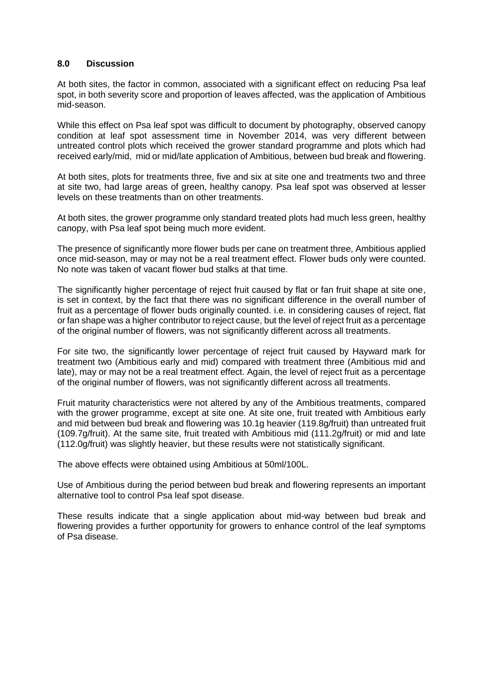#### **8.0 Discussion**

At both sites, the factor in common, associated with a significant effect on reducing Psa leaf spot, in both severity score and proportion of leaves affected, was the application of Ambitious mid-season.

While this effect on Psa leaf spot was difficult to document by photography, observed canopy condition at leaf spot assessment time in November 2014, was very different between untreated control plots which received the grower standard programme and plots which had received early/mid, mid or mid/late application of Ambitious, between bud break and flowering.

At both sites, plots for treatments three, five and six at site one and treatments two and three at site two, had large areas of green, healthy canopy. Psa leaf spot was observed at lesser levels on these treatments than on other treatments.

At both sites, the grower programme only standard treated plots had much less green, healthy canopy, with Psa leaf spot being much more evident.

The presence of significantly more flower buds per cane on treatment three, Ambitious applied once mid-season, may or may not be a real treatment effect. Flower buds only were counted. No note was taken of vacant flower bud stalks at that time.

The significantly higher percentage of reject fruit caused by flat or fan fruit shape at site one, is set in context, by the fact that there was no significant difference in the overall number of fruit as a percentage of flower buds originally counted. i.e. in considering causes of reject, flat or fan shape was a higher contributor to reject cause, but the level of reject fruit as a percentage of the original number of flowers, was not significantly different across all treatments.

For site two, the significantly lower percentage of reject fruit caused by Hayward mark for treatment two (Ambitious early and mid) compared with treatment three (Ambitious mid and late), may or may not be a real treatment effect. Again, the level of reject fruit as a percentage of the original number of flowers, was not significantly different across all treatments.

Fruit maturity characteristics were not altered by any of the Ambitious treatments, compared with the grower programme, except at site one. At site one, fruit treated with Ambitious early and mid between bud break and flowering was 10.1g heavier (119.8g/fruit) than untreated fruit (109.7g/fruit). At the same site, fruit treated with Ambitious mid (111.2g/fruit) or mid and late (112.0g/fruit) was slightly heavier, but these results were not statistically significant.

The above effects were obtained using Ambitious at 50ml/100L.

Use of Ambitious during the period between bud break and flowering represents an important alternative tool to control Psa leaf spot disease.

These results indicate that a single application about mid-way between bud break and flowering provides a further opportunity for growers to enhance control of the leaf symptoms of Psa disease.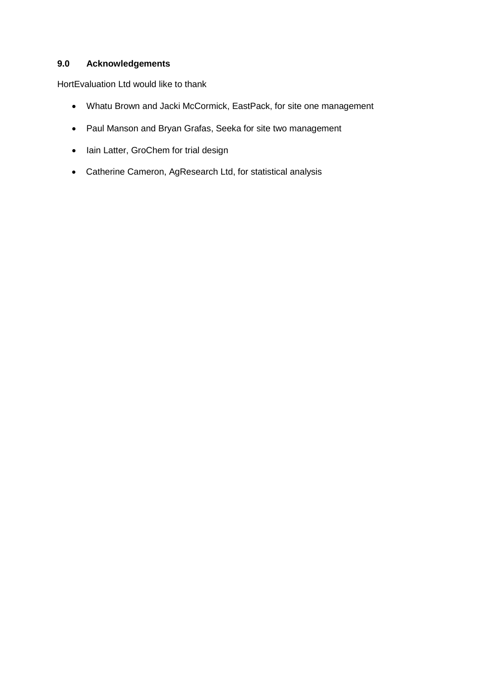# **9.0 Acknowledgements**

HortEvaluation Ltd would like to thank

- Whatu Brown and Jacki McCormick, EastPack, for site one management
- Paul Manson and Bryan Grafas, Seeka for site two management
- lain Latter, GroChem for trial design
- Catherine Cameron, AgResearch Ltd, for statistical analysis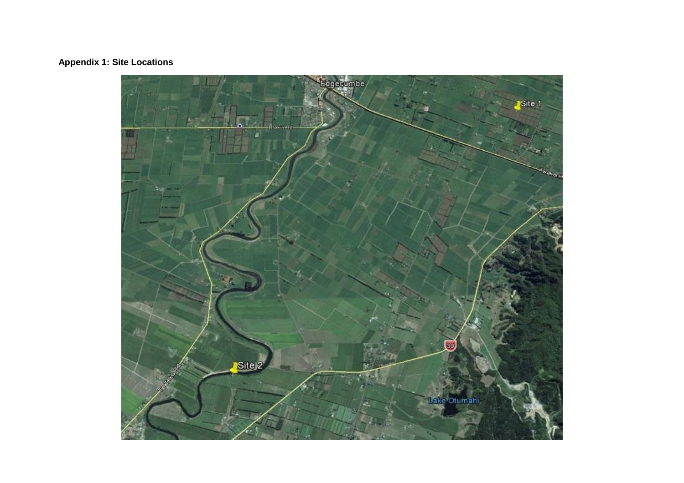# **Appendix 1: Site Locations**

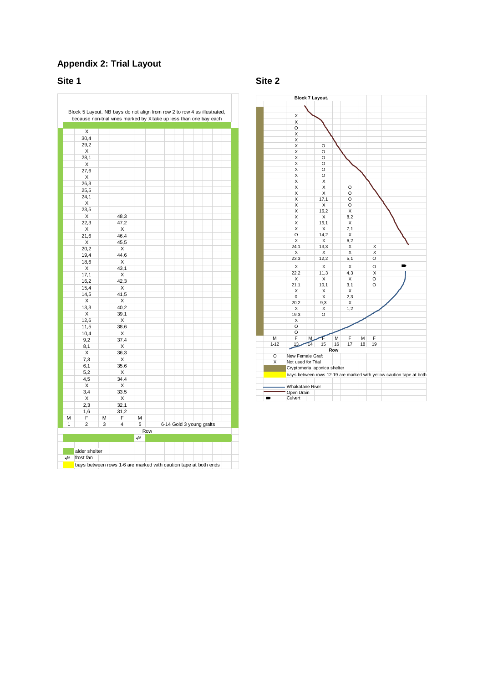## **Appendix 2: Trial Layout**

**Site 1 Site 2**



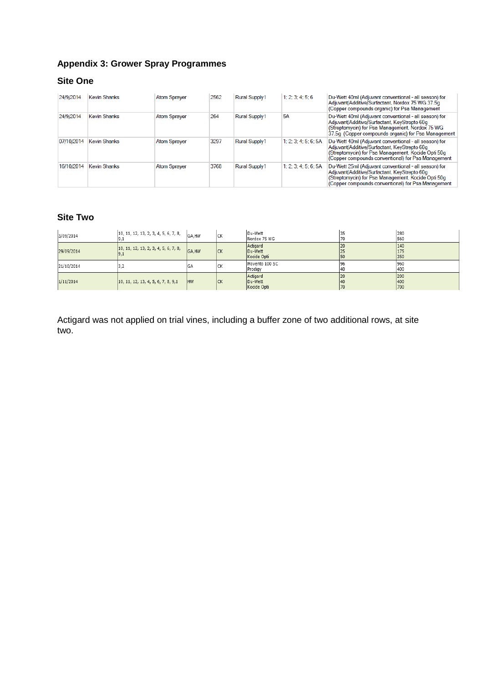# **Appendix 3: Grower Spray Programmes**

# **Site One**

| 24/9/2014  | <b>Kevin Shanks</b> | <b>Atom Sprayer</b> | 2562 | <b>Rural Supply1</b> | 1: 2: 3: 4: 5: 6     | Du-Wett 40ml (Adjuvant conventional - all season) for<br>Adjuvant/Additive/Surfactant, Nordox 75 WG 37.5q<br>(Copper compounds organic) for Psa Management                                                        |
|------------|---------------------|---------------------|------|----------------------|----------------------|-------------------------------------------------------------------------------------------------------------------------------------------------------------------------------------------------------------------|
| 24/9/2014  | <b>Kevin Shanks</b> | <b>Atom Sprayer</b> | 264  | Rural Supply1        | <b>5A</b>            | Du-Wett 40ml (Adjuvant conventional - all season) for<br>Adjuvant/Additive/Surfactant, KeyStrepto 60q<br>(Streptomycin) for Psa Management, Nordox 75 WG<br>37.5q (Copper compounds organic) for Psa Management   |
| 07/10/2014 | <b>Kevin Shanks</b> | <b>Atom Sprayer</b> | 3297 | <b>Rural Supply1</b> | 1: 2: 3: 4: 5: 6: 5A | Du-Wett 40ml (Adjuvant conventional - all season) for<br>Adjuvant/Additive/Surfactant, KeyStrepto 60q<br>(Streptomycin) for Psa Management, Kocide Opti 50g<br>(Copper compounds conventional) for Psa Management |
| 16/10/2014 | <b>Kevin Shanks</b> | <b>Atom Spraver</b> | 3768 | <b>Rural Supply1</b> | 1: 2: 3: 4: 5: 6: 5A | Du-Wett 25ml (Adjuvant conventional - all season) for<br>Adjuvant/Additive/Surfactant, KeyStrepto 60g<br>(Streptomycin) for Psa Management, Kocide Opti 50g<br>(Copper compounds conventional) for Psa Management |

# **Site Two**

| 3/09/2014  | 10, 11, 12, 13, 2, 3, 4, 5, 6, 7, 8, | GA, HW    | lск | Du-Wett<br>Nordox 75 WG            |    | 280<br>560        |
|------------|--------------------------------------|-----------|-----|------------------------------------|----|-------------------|
| 29/09/2014 | 10, 11, 12, 13, 2, 3, 4, 5, 6, 7, 8, | GA, HW    | lck | Actigard<br>Du-Wett<br>Kocide Opti |    | 140<br>175<br>350 |
| 21/10/2014 | ے،ر                                  | GA        | Iск | Movento 100 SC<br>Prodigy          | 40 | 960<br>400        |
| 1/11/2014  | 10, 11, 12, 13, 4, 5, 6, 7, 8, 9, 1  | <b>HW</b> | lck | Actigard<br>Du-Wett<br>Kocide Opti | 70 | 200<br>400<br>700 |

Actigard was not applied on trial vines, including a buffer zone of two additional rows, at site two.